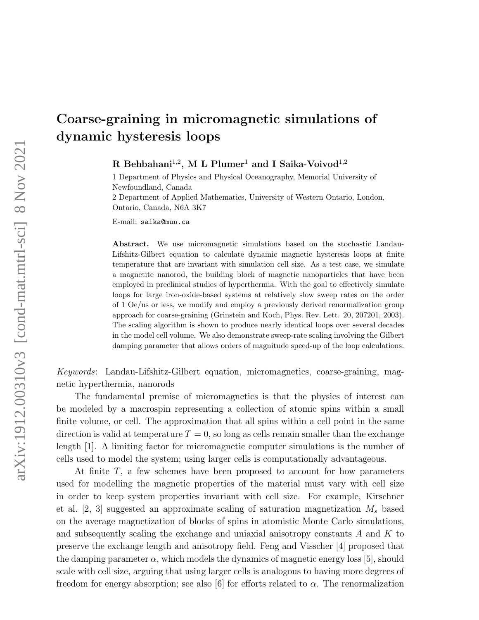## Coarse-graining in micromagnetic simulations of dynamic hysteresis loops

 $R$  Behbahani<sup>1,2</sup>, M L Plumer<sup>1</sup> and I Saika-Voivod<sup>1,2</sup>

1 Department of Physics and Physical Oceanography, Memorial University of Newfoundland, Canada

2 Department of Applied Mathematics, University of Western Ontario, London, Ontario, Canada, N6A 3K7

E-mail: saika@mun.ca

Abstract. We use micromagnetic simulations based on the stochastic Landau-Lifshitz-Gilbert equation to calculate dynamic magnetic hysteresis loops at finite temperature that are invariant with simulation cell size. As a test case, we simulate a magnetite nanorod, the building block of magnetic nanoparticles that have been employed in preclinical studies of hyperthermia. With the goal to effectively simulate loops for large iron-oxide-based systems at relatively slow sweep rates on the order of 1 Oe/ns or less, we modify and employ a previously derived renormalization group approach for coarse-graining (Grinstein and Koch, Phys. Rev. Lett. 20, 207201, 2003). The scaling algorithm is shown to produce nearly identical loops over several decades in the model cell volume. We also demonstrate sweep-rate scaling involving the Gilbert damping parameter that allows orders of magnitude speed-up of the loop calculations.

Keywords: Landau-Lifshitz-Gilbert equation, micromagnetics, coarse-graining, magnetic hyperthermia, nanorods

The fundamental premise of micromagnetics is that the physics of interest can be modeled by a macrospin representing a collection of atomic spins within a small finite volume, or cell. The approximation that all spins within a cell point in the same direction is valid at temperature  $T = 0$ , so long as cells remain smaller than the exchange length [1]. A limiting factor for micromagnetic computer simulations is the number of cells used to model the system; using larger cells is computationally advantageous.

At finite T, a few schemes have been proposed to account for how parameters used for modelling the magnetic properties of the material must vary with cell size in order to keep system properties invariant with cell size. For example, Kirschner et al.  $[2, 3]$  suggested an approximate scaling of saturation magnetization  $M_s$  based on the average magnetization of blocks of spins in atomistic Monte Carlo simulations, and subsequently scaling the exchange and uniaxial anisotropy constants A and K to preserve the exchange length and anisotropy field. Feng and Visscher [4] proposed that the damping parameter  $\alpha$ , which models the dynamics of magnetic energy loss [5], should scale with cell size, arguing that using larger cells is analogous to having more degrees of freedom for energy absorption; see also [6] for efforts related to  $\alpha$ . The renormalization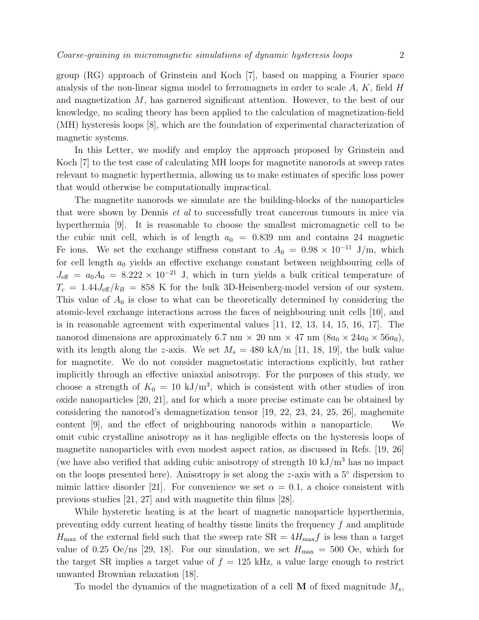group (RG) approach of Grinstein and Koch [7], based on mapping a Fourier space analysis of the non-linear sigma model to ferromagnets in order to scale  $A, K$ , field  $H$ and magnetization  $M$ , has garnered significant attention. However, to the best of our knowledge, no scaling theory has been applied to the calculation of magnetization-field (MH) hysteresis loops [8], which are the foundation of experimental characterization of magnetic systems.

In this Letter, we modify and employ the approach proposed by Grinstein and Koch [7] to the test case of calculating MH loops for magnetite nanorods at sweep rates relevant to magnetic hyperthermia, allowing us to make estimates of specific loss power that would otherwise be computationally impractical.

The magnetite nanorods we simulate are the building-blocks of the nanoparticles that were shown by Dennis et al to successfully treat cancerous tumours in mice via hyperthermia [9]. It is reasonable to choose the smallest micromagnetic cell to be the cubic unit cell, which is of length  $a_0 = 0.839$  nm and contains 24 magnetic Fe ions. We set the exchange stiffness constant to  $A_0 = 0.98 \times 10^{-11}$  J/m, which for cell length  $a_0$  yields an effective exchange constant between neighbouring cells of  $J_{\text{eff}} = a_0 A_0 = 8.222 \times 10^{-21}$  J, which in turn yields a bulk critical temperature of  $T_c = 1.44J_{\text{eff}}/k_B = 858$  K for the bulk 3D-Heisenberg-model version of our system. This value of  $A_0$  is close to what can be theoretically determined by considering the atomic-level exchange interactions across the faces of neighbouring unit cells [10], and is in reasonable agreement with experimental values [11, 12, 13, 14, 15, 16, 17]. The nanorod dimensions are approximately 6.7 nm  $\times$  20 nm  $\times$  47 nm  $(8a_0 \times 24a_0 \times 56a_0)$ , with its length along the z-axis. We set  $M_s = 480 \text{ kA/m}$  [11, 18, 19], the bulk value for magnetite. We do not consider magnetostatic interactions explicitly, but rather implicitly through an effective uniaxial anisotropy. For the purposes of this study, we choose a strength of  $K_0 = 10 \text{ kJ/m}^3$ , which is consistent with other studies of iron oxide nanoparticles [20, 21], and for which a more precise estimate can be obtained by considering the nanorod's demagnetization tensor [19, 22, 23, 24, 25, 26], maghemite content [9], and the effect of neighbouring nanorods within a nanoparticle. We omit cubic crystalline anisotropy as it has negligible effects on the hysteresis loops of magnetite nanoparticles with even modest aspect ratios, as discussed in Refs. [19, 26] (we have also verified that adding cubic anisotropy of strength  $10 \text{ kJ/m}^3$  has no impact on the loops presented here). Anisotropy is set along the z-axis with a  $5°$  dispersion to mimic lattice disorder [21]. For convenience we set  $\alpha = 0.1$ , a choice consistent with previous studies [21, 27] and with magnetite thin films [28].

While hysteretic heating is at the heart of magnetic nanoparticle hyperthermia, preventing eddy current heating of healthy tissue limits the frequency  $f$  and amplitude  $H_{\text{max}}$  of the external field such that the sweep rate  $SR = 4H_{\text{max}}f$  is less than a target value of 0.25 Oe/ns [29, 18]. For our simulation, we set  $H_{\text{max}} = 500$  Oe, which for the target SR implies a target value of  $f = 125$  kHz, a value large enough to restrict unwanted Brownian relaxation [18].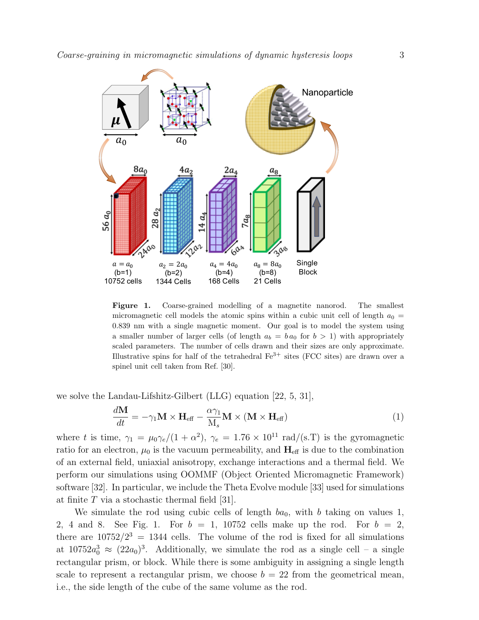

Figure 1. Coarse-grained modelling of a magnetite nanorod. The smallest micromagnetic cell models the atomic spins within a cubic unit cell of length  $a_0 =$ 0.839 nm with a single magnetic moment. Our goal is to model the system using a smaller number of larger cells (of length  $a_b = b a_0$  for  $b > 1$ ) with appropriately scaled parameters. The number of cells drawn and their sizes are only approximate. Illustrative spins for half of the tetrahedral  $Fe^{3+}$  sites (FCC sites) are drawn over a spinel unit cell taken from Ref. [30].

we solve the Landau-Lifshitz-Gilbert (LLG) equation [22, 5, 31],

$$
\frac{d\mathbf{M}}{dt} = -\gamma_1 \mathbf{M} \times \mathbf{H}_{\text{eff}} - \frac{\alpha \gamma_1}{M_s} \mathbf{M} \times (\mathbf{M} \times \mathbf{H}_{\text{eff}})
$$
(1)

where t is time,  $\gamma_1 = \mu_0 \gamma_e/(1 + \alpha^2)$ ,  $\gamma_e = 1.76 \times 10^{11}$  rad/(s.T) is the gyromagnetic ratio for an electron,  $\mu_0$  is the vacuum permeability, and  $\mathbf{H}_{\text{eff}}$  is due to the combination of an external field, uniaxial anisotropy, exchange interactions and a thermal field. We perform our simulations using OOMMF (Object Oriented Micromagnetic Framework) software [32]. In particular, we include the Theta Evolve module [33] used for simulations at finite  $T$  via a stochastic thermal field [31].

We simulate the rod using cubic cells of length  $ba_0$ , with b taking on values 1, 2, 4 and 8. See Fig. 1. For  $b = 1$ , 10752 cells make up the rod. For  $b = 2$ , there are  $10752/2^3 = 1344$  cells. The volume of the rod is fixed for all simulations at  $10752a_0^3 \approx (22a_0)^3$ . Additionally, we simulate the rod as a single cell – a single rectangular prism, or block. While there is some ambiguity in assigning a single length scale to represent a rectangular prism, we choose  $b = 22$  from the geometrical mean, i.e., the side length of the cube of the same volume as the rod.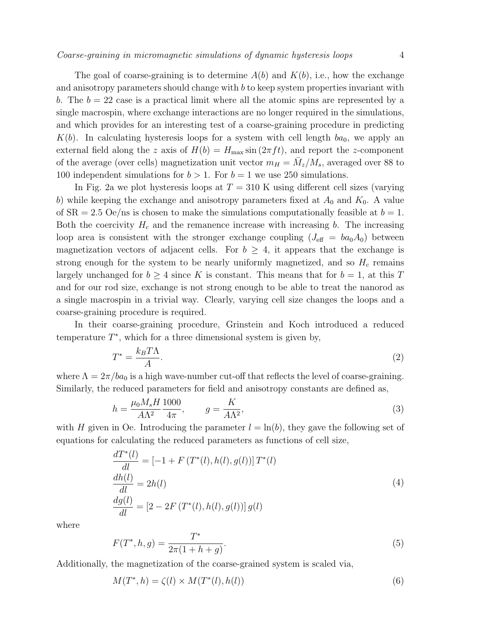The goal of coarse-graining is to determine  $A(b)$  and  $K(b)$ , i.e., how the exchange and anisotropy parameters should change with b to keep system properties invariant with b. The  $b = 22$  case is a practical limit where all the atomic spins are represented by a single macrospin, where exchange interactions are no longer required in the simulations, and which provides for an interesting test of a coarse-graining procedure in predicting  $K(b)$ . In calculating hysteresis loops for a system with cell length  $ba<sub>0</sub>$ , we apply an external field along the z axis of  $H(b) = H_{\text{max}} \sin(2\pi f t)$ , and report the z-component of the average (over cells) magnetization unit vector  $m_H = \bar{M}_z/M_s$ , averaged over 88 to 100 independent simulations for  $b > 1$ . For  $b = 1$  we use 250 simulations.

In Fig. 2a we plot hysteresis loops at  $T = 310$  K using different cell sizes (varying b) while keeping the exchange and anisotropy parameters fixed at  $A_0$  and  $K_0$ . A value of  $SR = 2.5$  Oe/ns is chosen to make the simulations computationally feasible at  $b = 1$ . Both the coercivity  $H_c$  and the remanence increase with increasing b. The increasing loop area is consistent with the stronger exchange coupling  $(J_{\text{eff}} = ba_0 A_0)$  between magnetization vectors of adjacent cells. For  $b \geq 4$ , it appears that the exchange is strong enough for the system to be nearly uniformly magnetized, and so  $H_c$  remains largely unchanged for  $b \geq 4$  since K is constant. This means that for  $b = 1$ , at this T and for our rod size, exchange is not strong enough to be able to treat the nanorod as a single macrospin in a trivial way. Clearly, varying cell size changes the loops and a coarse-graining procedure is required.

In their coarse-graining procedure, Grinstein and Koch introduced a reduced temperature  $T^*$ , which for a three dimensional system is given by,

$$
T^* = \frac{k_B T \Lambda}{A}.\tag{2}
$$

where  $\Lambda = 2\pi/ba_0$  is a high wave-number cut-off that reflects the level of coarse-graining. Similarly, the reduced parameters for field and anisotropy constants are defined as,

$$
h = \frac{\mu_0 M_s H}{A\Lambda^2} \frac{1000}{4\pi}, \qquad g = \frac{K}{A\Lambda^2},\tag{3}
$$

with H given in Oe. Introducing the parameter  $l = \ln(b)$ , they gave the following set of equations for calculating the reduced parameters as functions of cell size,

$$
\frac{dT^*(l)}{dl} = [-1 + F(T^*(l), h(l), g(l))] T^*(l) \n\frac{dh(l)}{dl} = 2h(l) \n\frac{dg(l)}{dl} = [2 - 2F(T^*(l), h(l), g(l))] g(l)
$$
\n(4)

where

$$
F(T^*,h,g) = \frac{T^*}{2\pi(1+h+g)}.\tag{5}
$$

Additionally, the magnetization of the coarse-grained system is scaled via,

$$
M(T^*,h) = \zeta(l) \times M(T^*(l),h(l))
$$
\n
$$
(6)
$$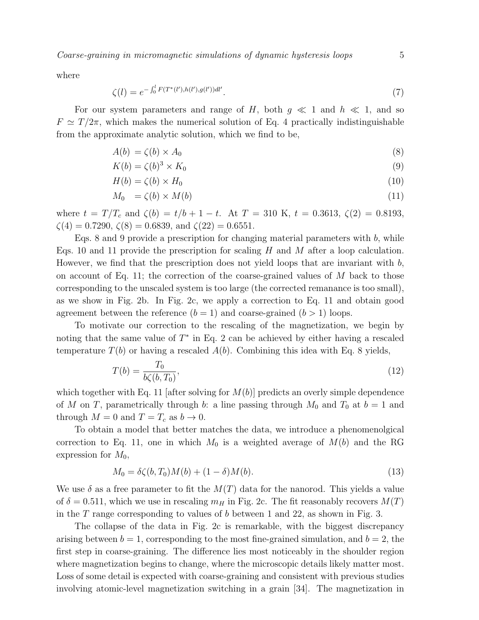where

$$
\zeta(l) = e^{-\int_0^l F(T^*(l'),h(l'),g(l'))dl'}.
$$
\n(7)

For our system parameters and range of H, both  $g \ll 1$  and  $h \ll 1$ , and so  $F \simeq T/2\pi$ , which makes the numerical solution of Eq. 4 practically indistinguishable from the approximate analytic solution, which we find to be,

$$
A(b) = \zeta(b) \times A_0 \tag{8}
$$

$$
K(b) = \zeta(b)^3 \times K_0 \tag{9}
$$

$$
H(b) = \zeta(b) \times H_0 \tag{10}
$$

$$
M_0 = \zeta(b) \times M(b) \tag{11}
$$

where  $t = T/T_c$  and  $\zeta(b) = t/b + 1 - t$ . At  $T = 310$  K,  $t = 0.3613$ ,  $\zeta(2) = 0.8193$ ,  $\zeta(4) = 0.7290, \, \zeta(8) = 0.6839, \, \text{and} \, \zeta(22) = 0.6551.$ 

Eqs. 8 and 9 provide a prescription for changing material parameters with  $b$ , while Eqs. 10 and 11 provide the prescription for scaling  $H$  and  $M$  after a loop calculation. However, we find that the prescription does not yield loops that are invariant with  $b$ , on account of Eq. 11; the correction of the coarse-grained values of  $M$  back to those corresponding to the unscaled system is too large (the corrected remanance is too small), as we show in Fig. 2b. In Fig. 2c, we apply a correction to Eq. 11 and obtain good agreement between the reference  $(b = 1)$  and coarse-grained  $(b > 1)$  loops.

To motivate our correction to the rescaling of the magnetization, we begin by noting that the same value of  $T^*$  in Eq. 2 can be achieved by either having a rescaled temperature  $T(b)$  or having a rescaled  $A(b)$ . Combining this idea with Eq. 8 yields,

$$
T(b) = \frac{T_0}{b\zeta(b, T_0)},\tag{12}
$$

which together with Eq. 11 [after solving for  $M(b)$ ] predicts an overly simple dependence of M on T, parametrically through b: a line passing through  $M_0$  and  $T_0$  at  $b = 1$  and through  $M = 0$  and  $T = T_c$  as  $b \to 0$ .

To obtain a model that better matches the data, we introduce a phenomenolgical correction to Eq. 11, one in which  $M_0$  is a weighted average of  $M(b)$  and the RG expression for  $M_0$ ,

$$
M_0 = \delta \zeta(b, T_0) M(b) + (1 - \delta) M(b). \tag{13}
$$

We use  $\delta$  as a free parameter to fit the  $M(T)$  data for the nanorod. This yields a value of  $\delta = 0.511$ , which we use in rescaling  $m_H$  in Fig. 2c. The fit reasonably recovers  $M(T)$ in the T range corresponding to values of b between 1 and 22, as shown in Fig. 3.

The collapse of the data in Fig. 2c is remarkable, with the biggest discrepancy arising between  $b = 1$ , corresponding to the most fine-grained simulation, and  $b = 2$ , the first step in coarse-graining. The difference lies most noticeably in the shoulder region where magnetization begins to change, where the microscopic details likely matter most. Loss of some detail is expected with coarse-graining and consistent with previous studies involving atomic-level magnetization switching in a grain [34]. The magnetization in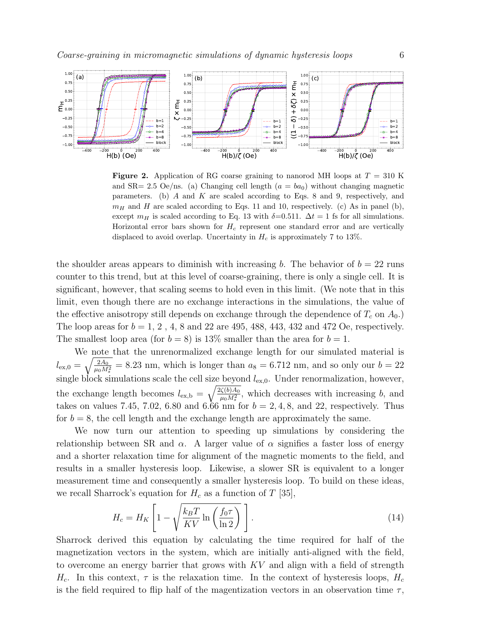

**Figure 2.** Application of RG coarse graining to nanorod MH loops at  $T = 310$  K and SR= 2.5 Oe/ns. (a) Changing cell length  $(a = ba_0)$  without changing magnetic parameters. (b) A and K are scaled according to Eqs. 8 and 9, respectively, and  $m_H$  and H are scaled according to Eqs. 11 and 10, respectively. (c) As in panel (b), except  $m_H$  is scaled according to Eq. 13 with  $\delta$ =0.511.  $\Delta t = 1$  fs for all simulations. Horizontal error bars shown for  $H_c$  represent one standard error and are vertically displaced to avoid overlap. Uncertainty in  $H_c$  is approximately 7 to 13%.

the shoulder areas appears to diminish with increasing b. The behavior of  $b = 22$  runs counter to this trend, but at this level of coarse-graining, there is only a single cell. It is significant, however, that scaling seems to hold even in this limit. (We note that in this limit, even though there are no exchange interactions in the simulations, the value of the effective anisotropy still depends on exchange through the dependence of  $T_c$  on  $A_0$ .) The loop areas for  $b = 1, 2, 4, 8$  and 22 are 495, 488, 443, 432 and 472 Oe, respectively. The smallest loop area (for  $b = 8$ ) is 13% smaller than the area for  $b = 1$ .

We note that the unrenormalized exchange length for our simulated material is  $l_{\text{ex,0}} = \sqrt{\frac{2A_0}{\mu_0 M}}$  $\frac{2A_0}{\mu_0 M_s^2} = 8.23$  nm, which is longer than  $a_8 = 6.712$  nm, and so only our  $b = 22$ single block simulations scale the cell size beyond  $l_{\text{ex},0}$ . Under renormalization, however, the exchange length becomes  $l_{\text{ex},b} = \sqrt{\frac{2\zeta(b)A_0}{\mu_0 M^2}}$  $\frac{\langle \zeta(b) A_0}{\mu_0 M_s^2}$ , which decreases with increasing b, and takes on values 7.45, 7.02, 6.80 and 6.66 nm for  $b = 2, 4, 8$ , and 22, respectively. Thus for  $b = 8$ , the cell length and the exchange length are approximately the same.

We now turn our attention to speeding up simulations by considering the relationship between SR and  $\alpha$ . A larger value of  $\alpha$  signifies a faster loss of energy and a shorter relaxation time for alignment of the magnetic moments to the field, and results in a smaller hysteresis loop. Likewise, a slower SR is equivalent to a longer measurement time and consequently a smaller hysteresis loop. To build on these ideas, we recall Sharrock's equation for  $H_c$  as a function of T [35],

$$
H_c = H_K \left[ 1 - \sqrt{\frac{k_B T}{K V} \ln \left( \frac{f_0 \tau}{\ln 2} \right)} \right].
$$
 (14)

Sharrock derived this equation by calculating the time required for half of the magnetization vectors in the system, which are initially anti-aligned with the field, to overcome an energy barrier that grows with  $KV$  and align with a field of strength  $H_c$ . In this context,  $\tau$  is the relaxation time. In the context of hysteresis loops,  $H_c$ is the field required to flip half of the magentization vectors in an observation time  $\tau$ ,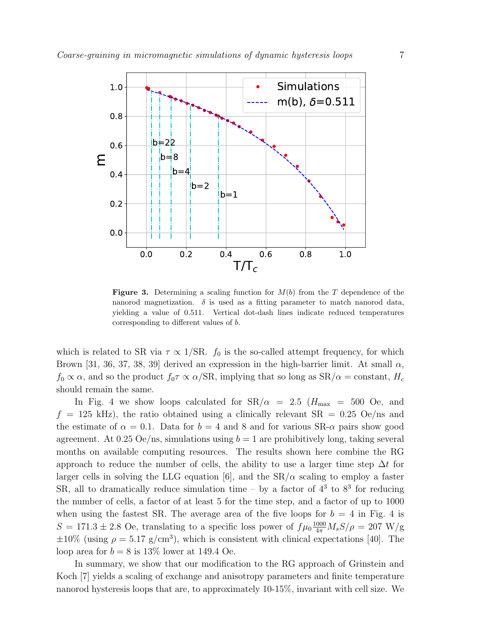

**Figure 3.** Determining a scaling function for  $M(b)$  from the T dependence of the nanorod magnetization.  $\delta$  is used as a fitting parameter to match nanorod data, yielding a value of 0.511. Vertical dot-dash lines indicate reduced temperatures corresponding to different values of b.

which is related to SR via  $\tau \propto 1/\text{SR}$ .  $f_0$  is the so-called attempt frequency, for which Brown [31, 36, 37, 38, 39] derived an expression in the high-barrier limit. At small  $\alpha$ ,  $f_0 \propto \alpha$ , and so the product  $f_0 \tau \propto \alpha / SR$ , implying that so long as  $SR/\alpha = constant$ ,  $H_c$ should remain the same.

In Fig. 4 we show loops calculated for  $\text{SR}/\alpha = 2.5$  ( $H_{\text{max}} = 500$  Oe, and  $f = 125$  kHz), the ratio obtained using a clinically relevant  $SR = 0.25$  Oe/ns and the estimate of  $\alpha = 0.1$ . Data for  $b = 4$  and 8 and for various SR- $\alpha$  pairs show good agreement. At 0.25 Oe/ns, simulations using  $b = 1$  are prohibitively long, taking several months on available computing resources. The results shown here combine the RG approach to reduce the number of cells, the ability to use a larger time step  $\Delta t$  for larger cells in solving the LLG equation [6], and the  $SR/\alpha$  scaling to employ a faster SR, all to dramatically reduce simulation time  $-$  by a factor of  $4<sup>3</sup>$  to  $8<sup>3</sup>$  for reducing the number of cells, a factor of at least 5 for the time step, and a factor of up to 1000 when using the fastest SR. The average area of the five loops for  $b = 4$  in Fig. 4 is  $S = 171.3 \pm 2.8$  Oe, translating to a specific loss power of  $f\mu_0 \frac{1000}{4\pi} M_s S/\rho = 207$  W/g  $\pm 10\%$  (using  $\rho = 5.17$  g/cm<sup>3</sup>), which is consistent with clinical expectations [40]. The loop area for  $b = 8$  is 13\% lower at 149.4 Oe.

In summary, we show that our modification to the RG approach of Grinstein and Koch [7] yields a scaling of exchange and anisotropy parameters and finite temperature nanorod hysteresis loops that are, to approximately 10-15%, invariant with cell size. We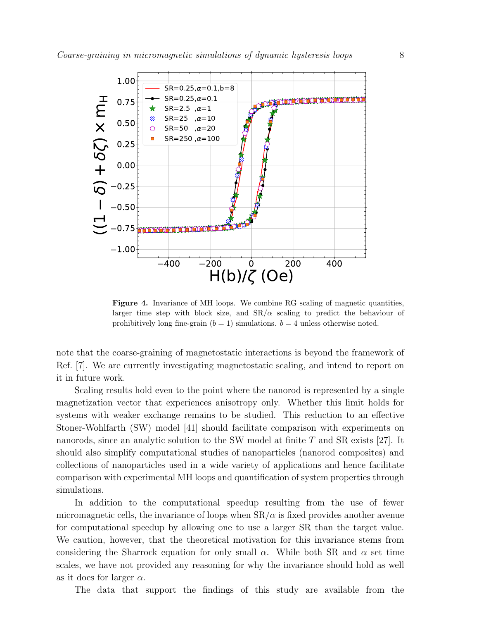

Figure 4. Invariance of MH loops. We combine RG scaling of magnetic quantities, larger time step with block size, and  $\text{SR}/\alpha$  scaling to predict the behaviour of prohibitively long fine-grain  $(b = 1)$  simulations.  $b = 4$  unless otherwise noted.

note that the coarse-graining of magnetostatic interactions is beyond the framework of Ref. [7]. We are currently investigating magnetostatic scaling, and intend to report on it in future work.

Scaling results hold even to the point where the nanorod is represented by a single magnetization vector that experiences anisotropy only. Whether this limit holds for systems with weaker exchange remains to be studied. This reduction to an effective Stoner-Wohlfarth (SW) model [41] should facilitate comparison with experiments on nanorods, since an analytic solution to the SW model at finite T and SR exists [27]. It should also simplify computational studies of nanoparticles (nanorod composites) and collections of nanoparticles used in a wide variety of applications and hence facilitate comparison with experimental MH loops and quantification of system properties through simulations.

In addition to the computational speedup resulting from the use of fewer micromagnetic cells, the invariance of loops when  $SR/\alpha$  is fixed provides another avenue for computational speedup by allowing one to use a larger SR than the target value. We caution, however, that the theoretical motivation for this invariance stems from considering the Sharrock equation for only small  $\alpha$ . While both SR and  $\alpha$  set time scales, we have not provided any reasoning for why the invariance should hold as well as it does for larger  $\alpha$ .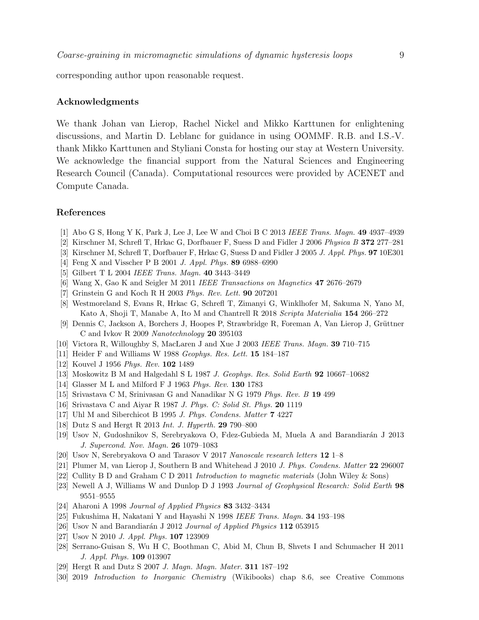corresponding author upon reasonable request.

## Acknowledgments

We thank Johan van Lierop, Rachel Nickel and Mikko Karttunen for enlightening discussions, and Martin D. Leblanc for guidance in using OOMMF. R.B. and I.S.-V. thank Mikko Karttunen and Styliani Consta for hosting our stay at Western University. We acknowledge the financial support from the Natural Sciences and Engineering Research Council (Canada). Computational resources were provided by ACENET and Compute Canada.

## References

- [1] Abo G S, Hong Y K, Park J, Lee J, Lee W and Choi B C 2013 IEEE Trans. Magn. 49 4937–4939
- [2] Kirschner M, Schrefl T, Hrkac G, Dorfbauer F, Suess D and Fidler J 2006 Physica B 372 277–281
- [3] Kirschner M, Schrefl T, Dorfbauer F, Hrkac G, Suess D and Fidler J 2005 J. Appl. Phys. 97 10E301
- [4] Feng X and Visscher P B 2001 J. Appl. Phys. 89 6988–6990
- [5] Gilbert T L 2004 IEEE Trans. Magn. 40 3443–3449
- [6] Wang X, Gao K and Seigler M 2011 IEEE Transactions on Magnetics 47 2676–2679
- [7] Grinstein G and Koch R H 2003 Phys. Rev. Lett. 90 207201
- [8] Westmoreland S, Evans R, Hrkac G, Schrefl T, Zimanyi G, Winklhofer M, Sakuma N, Yano M, Kato A, Shoji T, Manabe A, Ito M and Chantrell R 2018 Scripta Materialia 154 266–272
- [9] Dennis C, Jackson A, Borchers J, Hoopes P, Strawbridge R, Foreman A, Van Lierop J, Grüttner C and Ivkov R 2009 Nanotechnology 20 395103
- [10] Victora R, Willoughby S, MacLaren J and Xue J 2003 IEEE Trans. Magn. 39 710–715
- [11] Heider F and Williams W 1988 Geophys. Res. Lett. 15 184–187
- [12] Kouvel J 1956 *Phys. Rev.* **102** 1489
- [13] Moskowitz B M and Halgedahl S L 1987 J. Geophys. Res. Solid Earth 92 10667–10682
- [14] Glasser M L and Milford F J 1963 Phys. Rev. 130 1783
- [15] Srivastava C M, Srinivasan G and Nanadikar N G 1979 Phys. Rev. B 19 499
- [16] Srivastava C and Aiyar R 1987 J. Phys. C: Solid St. Phys. 20 1119
- [17] Uhl M and Siberchicot B 1995 J. Phys. Condens. Matter 7 4227
- [18] Dutz S and Hergt R 2013 Int. J. Hyperth. 29 790–800
- [19] Usov N, Gudoshnikov S, Serebryakova O, Fdez-Gubieda M, Muela A and Barandiarán J 2013 J. Supercond. Nov. Magn. 26 1079–1083
- [20] Usov N, Serebryakova O and Tarasov V 2017 Nanoscale research letters 12 1–8
- [21] Plumer M, van Lierop J, Southern B and Whitehead J 2010 J. Phys. Condens. Matter 22 296007
- [22] Cullity B D and Graham C D 2011 Introduction to magnetic materials (John Wiley & Sons)
- [23] Newell A J, Williams W and Dunlop D J 1993 Journal of Geophysical Research: Solid Earth 98 9551–9555
- [24] Aharoni A 1998 Journal of Applied Physics 83 3432–3434
- [25] Fukushima H, Nakatani Y and Hayashi N 1998 IEEE Trans. Magn. 34 193–198
- [26] Usov N and Barandiarán J 2012 Journal of Applied Physics  $112$  053915
- [27] Usov N 2010 *J. Appl. Phys.* **107** 123909
- [28] Serrano-Guisan S, Wu H C, Boothman C, Abid M, Chun B, Shvets I and Schumacher H 2011 J. Appl. Phys. 109 013907
- [29] Hergt R and Dutz S 2007 J. Magn. Magn. Mater. **311** 187-192
- [30] 2019 Introduction to Inorganic Chemistry (Wikibooks) chap 8.6, see Creative Commons